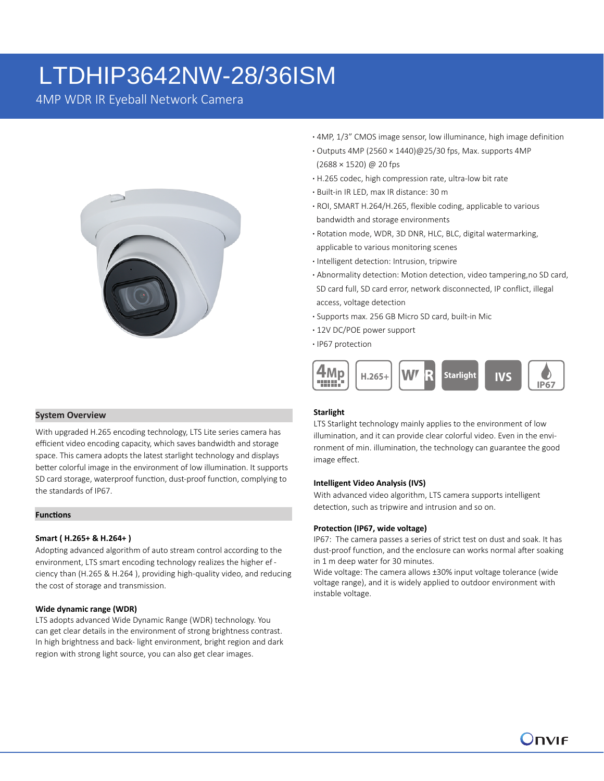# LTDHIP3642NW-28/36ISM

4MP WDR IR Eyeball Network Camera



**System Overview**

With upgraded H.265 encoding technology, LTS Lite series camera has efficient video encoding capacity, which saves bandwidth and storage space. This camera adopts the latest starlight technology and displays better colorful image in the environment of low illumination. It supports SD card storage, waterproof function, dust-proof function, complying to the standards of IP67.

#### **Functions**

### **Smart ( H.265+ & H.264+ )**

Adopting advanced algorithm of auto stream control according to the environment, LTS smart encoding technology realizes the higher ef ciency than (H.265 & H.264 ), providing high-quality video, and reducing the cost of storage and transmission.

#### **Wide dynamic range (WDR)**

LTS adopts advanced Wide Dynamic Range (WDR) technology. You can get clear details in the environment of strong brightness contrast. In high brightness and back- light environment, bright region and dark region with strong light source, you can also get clear images.

- **·** 4MP, 1/3" CMOS image sensor, low illuminance, high image definition
- **·** Outputs 4MP (2560 × 1440)@25/30 fps, Max. supports 4MP (2688 × 1520) @ 20 fps
- **·** H.265 codec, high compression rate, ultra-low bit rate
- **·** Built-in IR LED, max IR distance: 30 m
- **·** ROI, SMART H.264/H.265, flexible coding, applicable to various bandwidth and storage environments
- **·** Rotation mode, WDR, 3D DNR, HLC, BLC, digital watermarking, applicable to various monitoring scenes
- **·** Intelligent detection: Intrusion, tripwire
- **·** Abnormality detection: Motion detection, video tampering,no SD card, SD card full, SD card error, network disconnected, IP conflict, illegal access, voltage detection
- **·** Supports max. 256 GB Micro SD card, built-in Mic
- **·** 12V DC/POE power support
- **·** IP67 protection



# **Starlight**

LTS Starlight technology mainly applies to the environment of low illumination, and it can provide clear colorful video. Even in the environment of min. illumination, the technology can guarantee the good image effect.

#### **Intelligent Video Analysis (IVS)**

With advanced video algorithm, LTS camera supports intelligent detection, such as tripwire and intrusion and so on.

#### **Protection (IP67, wide voltage)**

IP67: The camera passes a series of strict test on dust and soak. It has dust-proof function, and the enclosure can works normal after soaking in 1 m deep water for 30 minutes.

Wide voltage: The camera allows ±30% input voltage tolerance (wide voltage range), and it is widely applied to outdoor environment with instable voltage.

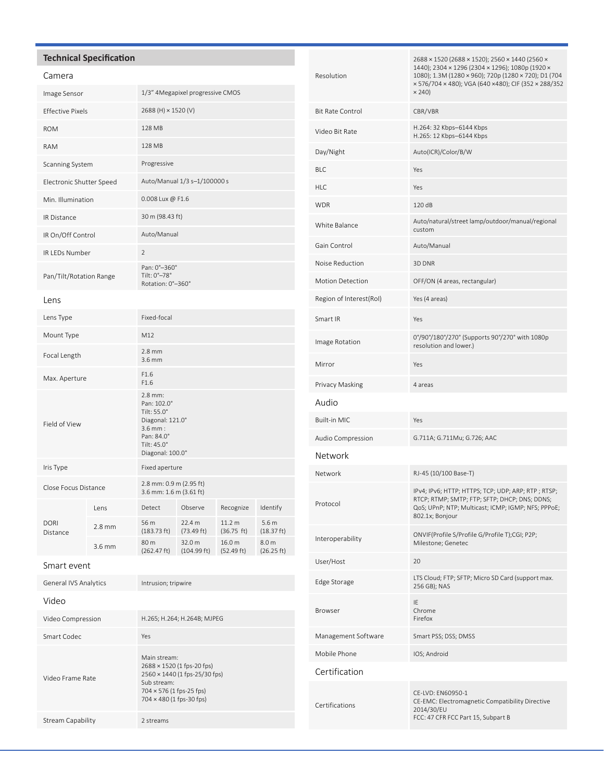# **Technical Specification**

# Camera

| Image Sensor             |          | 1/3" 4Megapixel progressive CMOS                                                                                          |                       |                                 |                                |  |
|--------------------------|----------|---------------------------------------------------------------------------------------------------------------------------|-----------------------|---------------------------------|--------------------------------|--|
| <b>Effective Pixels</b>  |          | 2688 (H) × 1520 (V)                                                                                                       |                       |                                 |                                |  |
| <b>ROM</b>               |          | 128 MB                                                                                                                    |                       |                                 |                                |  |
| <b>RAM</b>               |          | 128 MB                                                                                                                    |                       |                                 |                                |  |
| Scanning System          |          | Progressive                                                                                                               |                       |                                 |                                |  |
| Electronic Shutter Speed |          | Auto/Manual 1/3 s-1/100000 s                                                                                              |                       |                                 |                                |  |
| Min. Illumination        |          | 0.008 Lux @ F1.6                                                                                                          |                       |                                 |                                |  |
| IR Distance              |          | 30 m (98.43 ft)                                                                                                           |                       |                                 |                                |  |
| IR On/Off Control        |          | Auto/Manual                                                                                                               |                       |                                 |                                |  |
| <b>IR LEDs Number</b>    |          | $\overline{2}$                                                                                                            |                       |                                 |                                |  |
| Pan/Tilt/Rotation Range  |          | Pan: 0°-360°<br>Tilt: 0°-78°<br>Rotation: 0°-360°                                                                         |                       |                                 |                                |  |
| Lens                     |          |                                                                                                                           |                       |                                 |                                |  |
| Lens Type                |          | Fixed-focal                                                                                                               |                       |                                 |                                |  |
| Mount Type               |          | M12                                                                                                                       |                       |                                 |                                |  |
| Focal Length             |          | $2.8$ mm<br>$3.6$ mm                                                                                                      |                       |                                 |                                |  |
| Max. Aperture            |          | F1.6<br>F1.6                                                                                                              |                       |                                 |                                |  |
| Field of View            |          | $2.8$ mm:<br>Pan: 102.0°<br>Tilt: 55.0°<br>Diagonal: 121.0°<br>$3.6$ mm:<br>Pan: 84.0°<br>Tilt: 45.0°<br>Diagonal: 100.0° |                       |                                 |                                |  |
| Iris Type                |          | Fixed aperture                                                                                                            |                       |                                 |                                |  |
| Close Focus Distance     |          | 2.8 mm: 0.9 m (2.95 ft)<br>3.6 mm: 1.6 m (3.61 ft)                                                                        |                       |                                 |                                |  |
| <b>DORI</b><br>Distance  | Lens     | Detect                                                                                                                    | Observe               | Recognize                       | Identify                       |  |
|                          | $2.8$ mm | 56 m<br>(183.73 ft)                                                                                                       | 22.4 m<br>(73.49 ft)  | 11.2 <sub>m</sub><br>(36.75 ft) | 5.6 <sub>m</sub><br>(18.37 ft) |  |
|                          | 3.6 mm   | 80 m<br>(262.47 ft)                                                                                                       | 32.0 m<br>(104.99 ft) | 16.0 m<br>(52.49 ft)            | 8.0 m<br>(26.25 ft)            |  |
|                          |          |                                                                                                                           |                       |                                 |                                |  |

| <b>General IVS Analytics</b> | Intrusion; tripwire                                                                                                                                |  |  |
|------------------------------|----------------------------------------------------------------------------------------------------------------------------------------------------|--|--|
| Video                        |                                                                                                                                                    |  |  |
| Video Compression            | H.265; H.264; H.264B; MJPEG                                                                                                                        |  |  |
| Smart Codec                  | Yes                                                                                                                                                |  |  |
| Video Frame Rate             | Main stream:<br>2688 × 1520 (1 fps-20 fps)<br>2560 × 1440 (1 fps-25/30 fps)<br>Sub stream:<br>704 × 576 (1 fps-25 fps)<br>704 × 480 (1 fps-30 fps) |  |  |
| Stream Capability            | 2 streams                                                                                                                                          |  |  |

| Resolution              | 2688 × 1520 (2688 × 1520); 2560 × 1440 (2560 ×<br>1440); 2304 × 1296 (2304 × 1296); 1080p (1920 ×<br>1080); 1.3M (1280 × 960); 720p (1280 × 720); D1 (704<br>× 576/704 × 480); VGA (640 ×480); CIF (352 × 288/352<br>$\times$ 240) |  |  |  |
|-------------------------|------------------------------------------------------------------------------------------------------------------------------------------------------------------------------------------------------------------------------------|--|--|--|
| <b>Bit Rate Control</b> | CBR/VBR                                                                                                                                                                                                                            |  |  |  |
| Video Bit Rate          | H.264: 32 Kbps-6144 Kbps<br>H.265: 12 Kbps-6144 Kbps                                                                                                                                                                               |  |  |  |
| Day/Night               | Auto(ICR)/Color/B/W                                                                                                                                                                                                                |  |  |  |
| <b>BLC</b>              | Yes                                                                                                                                                                                                                                |  |  |  |
| <b>HLC</b>              | Yes                                                                                                                                                                                                                                |  |  |  |
| <b>WDR</b>              | 120 dB                                                                                                                                                                                                                             |  |  |  |
| White Balance           | Auto/natural/street lamp/outdoor/manual/regional<br>custom                                                                                                                                                                         |  |  |  |
| Gain Control            | Auto/Manual                                                                                                                                                                                                                        |  |  |  |
| Noise Reduction         | 3D DNR                                                                                                                                                                                                                             |  |  |  |
| <b>Motion Detection</b> | OFF/ON (4 areas, rectangular)                                                                                                                                                                                                      |  |  |  |
| Region of Interest(RoI) | Yes (4 areas)                                                                                                                                                                                                                      |  |  |  |
| Smart IR                | Yes                                                                                                                                                                                                                                |  |  |  |
| Image Rotation          | 0°/90°/180°/270° (Supports 90°/270° with 1080p<br>resolution and lower.)                                                                                                                                                           |  |  |  |
| Mirror                  | Yes                                                                                                                                                                                                                                |  |  |  |
| Privacy Masking         | 4 areas                                                                                                                                                                                                                            |  |  |  |
| Audio                   |                                                                                                                                                                                                                                    |  |  |  |
| Built-in MIC            | Yes                                                                                                                                                                                                                                |  |  |  |
| Audio Compression       | G.711A; G.711Mu; G.726; AAC                                                                                                                                                                                                        |  |  |  |
| Network                 |                                                                                                                                                                                                                                    |  |  |  |
| Network                 | RJ-45 (10/100 Base-T)                                                                                                                                                                                                              |  |  |  |
| Protocol                | IPv4; IPv6; HTTP; HTTPS; TCP; UDP; ARP; RTP; RTSP;<br>RTCP; RTMP; SMTP; FTP; SFTP; DHCP; DNS; DDNS;<br>QoS; UPnP; NTP; Multicast; ICMP; IGMP; NFS; PPPoE;<br>802.1x; Bonjour                                                       |  |  |  |
| Interoperability        | ONVIF(Profile S/Profile G/Profile T);CGI; P2P;<br>Milestone; Genetec                                                                                                                                                               |  |  |  |
| User/Host               | 20                                                                                                                                                                                                                                 |  |  |  |
| Edge Storage            | LTS Cloud; FTP; SFTP; Micro SD Card (support max.<br>256 GB); NAS                                                                                                                                                                  |  |  |  |
| <b>Browser</b>          | ΙE<br>Chrome<br>Firefox                                                                                                                                                                                                            |  |  |  |
| Management Software     | Smart PSS; DSS; DMSS                                                                                                                                                                                                               |  |  |  |
| Mobile Phone            | IOS; Android                                                                                                                                                                                                                       |  |  |  |
| Certification           |                                                                                                                                                                                                                                    |  |  |  |
| Certifications          | CE-LVD: EN60950-1<br>CE-EMC: Electromagnetic Compatibility Directive<br>2014/30/EU<br>FCC: 47 CFR FCC Part 15, Subpart B                                                                                                           |  |  |  |